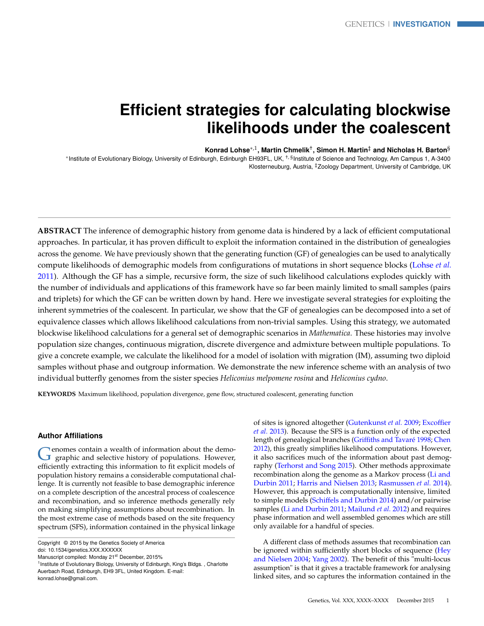# <span id="page-0-0"></span>**Efficient strategies for calculating blockwise likelihoods under the coalescent**

**Konrad Lohse**∗,1 **, Martin Chmelik**† **, Simon H. Martin**‡ **and Nicholas H. Barton**§

∗ Institute of Evolutionary Biology, University of Edinburgh, Edinburgh EH93FL, UK, †, §Institute of Science and Technology, Am Campus 1, A-3400 Klosterneuburg, Austria, ‡Zoology Department, University of Cambridge, UK

**ABSTRACT** The inference of demographic history from genome data is hindered by a lack of efficient computational approaches. In particular, it has proven difficult to exploit the information contained in the distribution of genealogies across the genome. We have previously shown that the generating function (GF) of genealogies can be used to analytically compute likelihoods of demographic models from configurations of mutations in short sequence blocks [\(Lohse](#page-10-0) *et al.* [2011\)](#page-10-0). Although the GF has a simple, recursive form, the size of such likelihood calculations explodes quickly with the number of individuals and applications of this framework have so far been mainly limited to small samples (pairs and triplets) for which the GF can be written down by hand. Here we investigate several strategies for exploiting the inherent symmetries of the coalescent. In particular, we show that the GF of genealogies can be decomposed into a set of equivalence classes which allows likelihood calculations from non-trivial samples. Using this strategy, we automated blockwise likelihood calculations for a general set of demographic scenarios in *Mathematica*. These histories may involve population size changes, continuous migration, discrete divergence and admixture between multiple populations. To give a concrete example, we calculate the likelihood for a model of isolation with migration (IM), assuming two diploid samples without phase and outgroup information. We demonstrate the new inference scheme with an analysis of two individual butterfly genomes from the sister species *Heliconius melpomene rosina* and *Heliconius cydno*.

**KEYWORDS** Maximum likelihood, population divergence, gene flow, structured coalescent, generating function

## **Author Affiliations**

Genomes contain a wealth of information about the demo-<br>Georgia graphic and selective history of populations. However, enomes contain a wealth of information about the demoefficiently extracting this information to fit explicit models of population history remains a considerable computational challenge. It is currently not feasible to base demographic inference on a complete description of the ancestral process of coalescence and recombination, and so inference methods generally rely on making simplifying assumptions about recombination. In the most extreme case of methods based on the site frequency spectrum (SFS), information contained in the physical linkage

Manuscript compiled: Monday 21<sup>st</sup> December, 2015%

<sup>1</sup> Institute of Evolutionary Biology, University of Edinburgh, King's Bldgs., Charlotte Auerbach Road, Edinburgh, EH9 3FL, United Kingdom. E-mail: konrad.lohse@gmail.com.

of sites is ignored altogether [\(Gutenkunst](#page-9-0) *et al.* [2009;](#page-9-0) [Excoffier](#page-9-1) *[et al.](#page-9-1)* [2013\)](#page-9-1). Because the SFS is a function only of the expected length of genealogical branches [\(Griffiths and Tavaré](#page-9-2) [1998;](#page-9-2) [Chen](#page-9-3) [2012\)](#page-9-3), this greatly simplifies likelihood computations. However, it also sacrifices much of the information about past demography [\(Terhorst and Song](#page-10-1) [2015\)](#page-10-1). Other methods approximate recombination along the genome as a Markov process [\(Li and](#page-9-4) [Durbin](#page-9-4) [2011;](#page-9-4) [Harris and Nielsen](#page-9-5) [2013;](#page-9-5) [Rasmussen](#page-10-2) *et al.* [2014\)](#page-10-2). However, this approach is computationally intensive, limited to simple models [\(Schiffels and Durbin](#page-10-3) [2014\)](#page-10-3) and/or pairwise samples [\(Li and Durbin](#page-9-4) [2011;](#page-9-4) [Mailund](#page-10-4) *et al.* [2012\)](#page-10-4) and requires phase information and well assembled genomes which are still only available for a handful of species.

A different class of methods assumes that recombination can be ignored within sufficiently short blocks of sequence [\(Hey](#page-9-6) [and Nielsen](#page-9-6) [2004;](#page-9-6) [Yang](#page-10-5) [2002\)](#page-10-5). The benefit of this "multi-locus assumption" is that it gives a tractable framework for analysing linked sites, and so captures the information contained in the

Copyright © 2015 by the Genetics Society of America doi: 10.1534/genetics.XXX.XXXXXX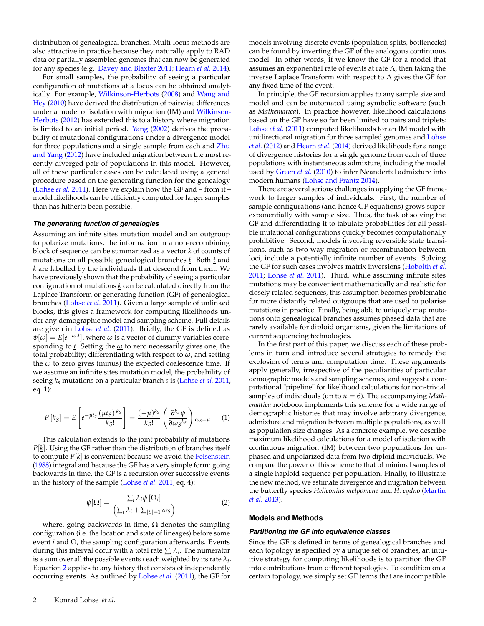distribution of genealogical branches. Multi-locus methods are also attractive in practice because they naturally apply to RAD data or partially assembled genomes that can now be generated for any species (e.g. [Davey and Blaxter](#page-9-7) [2011;](#page-9-7) [Hearn](#page-9-8) *et al.* [2014\)](#page-9-8).

For small samples, the probability of seeing a particular configuration of mutations at a locus can be obtained analytically. For example, [Wilkinson-Herbots](#page-10-6) [\(2008\)](#page-10-6) and [Wang and](#page-10-7) [Hey](#page-10-7) [\(2010\)](#page-10-7) have derived the distribution of pairwise differences under a model of isolation with migration (IM) and [Wilkinson-](#page-10-8)[Herbots](#page-10-8) [\(2012\)](#page-10-8) has extended this to a history where migration is limited to an initial period. [Yang](#page-10-5) [\(2002\)](#page-10-5) derives the probability of mutational configurations under a divergence model for three populations and a single sample from each and [Zhu](#page-10-9) [and Yang](#page-10-9) [\(2012\)](#page-10-9) have included migration between the most recently diverged pair of populations in this model. However, all of these particular cases can be calculated using a general procedure based on the generating function for the genealogy [\(Lohse](#page-10-0) *et al.* [2011\)](#page-10-0). Here we explain how the GF and – from it – model likelihoods can be efficiently computed for larger samples than has hitherto been possible.

#### *The generating function of genealogies*

Assuming an infinite sites mutation model and an outgroup to polarize mutations, the information in a non-recombining block of sequence can be summarized as a vector *k* of counts of mutations on all possible genealogical branches *t*. Both *t* and *k* are labelled by the individuals that descend from them. We have previously shown that the probability of seeing a particular configuration of mutations *k* can be calculated directly from the Laplace Transform or generating function (GF) of genealogical branches [\(Lohse](#page-10-0) *et al.* [2011\)](#page-10-0). Given a large sample of unlinked blocks, this gives a framework for computing likelihoods under any demographic model and sampling scheme. Full details are given in [Lohse](#page-10-0) *et al.* [\(2011\)](#page-10-0). Briefly, the GF is defined as  $\psi[\omega] = E[e^{-\omega t}]$ , where  $\omega$  is a vector of dummy variables corresponding to *t*. Setting the *ω* to zero necessarily gives one, the total probability; differentiating with respect to  $\omega_i$  and setting the  $\omega$  to zero gives (minus) the expected coalescence time. If we assume an infinite sites mutation model, the probability of seeing *ks* mutations on a particular branch *s* is [\(Lohse](#page-10-0) *et al.* [2011,](#page-10-0) eq. 1):

<span id="page-1-1"></span>
$$
P\left[k_S\right] = E\left[e^{-\mu t_S} \frac{\left(\mu t_S\right)^{k_S}}{k_S!}\right] = \frac{(-\mu)^{k_S}}{k_S!} \left(\frac{\partial^{k_S} \psi}{\partial \omega_S^{k_S}}\right) \omega_S = \mu \tag{1}
$$

This calculation extends to the joint probability of mutations *P*[*k*]. Using the GF rather than the distribution of branches itself to compute *P*[*k*] is convenient because we avoid the [Felsenstein](#page-9-9) [\(1988\)](#page-9-9) integral and because the GF has a very simple form: going backwards in time, the GF is a recursion over successive events in the history of the sample [\(Lohse](#page-10-0) *et al.* [2011,](#page-10-0) eq. 4):

<span id="page-1-0"></span>
$$
\psi[\Omega] = \frac{\sum_{i} \lambda_{i} \psi[\Omega_{i}]}{\left(\sum_{i} \lambda_{i} + \sum_{|S|=1} \omega_{S}\right)}
$$
(2)

where, going backwards in time,  $\Omega$  denotes the sampling configuration (i.e. the location and state of lineages) before some event *i* and  $\Omega_i$  the sampling configuration afterwards. Events during this interval occur with a total rate ∑*<sup>i</sup> λ<sup>i</sup>* . The numerator is a sum over all the possible events  $i$  each weighted by its rate  $\lambda_i.$ Equation [2](#page-1-0) applies to any history that consists of independently occurring events. As outlined by [Lohse](#page-10-0) *et al.* [\(2011\)](#page-10-0), the GF for

In principle, the GF recursion applies to any sample size and model and can be automated using symbolic software (such as *Mathematica*). In practice however, likelihood calculations based on the GF have so far been limited to pairs and triplets: [Lohse](#page-10-0) *et al.* [\(2011\)](#page-10-0) computed likelihoods for an IM model with unidirectional migration for three sampled genomes and [Lohse](#page-10-10) *[et al.](#page-10-10)* [\(2012\)](#page-10-10) and [Hearn](#page-9-8) *et al.* [\(2014\)](#page-9-8) derived likelihoods for a range of divergence histories for a single genome from each of three populations with instantaneous admixture, including the model used by [Green](#page-9-10) *et al.* [\(2010\)](#page-9-10) to infer Neandertal admixture into modern humans [\(Lohse and Frantz](#page-10-11) [2014\)](#page-10-11).

There are several serious challenges in applying the GF framework to larger samples of individuals. First, the number of sample configurations (and hence GF equations) grows superexponentially with sample size. Thus, the task of solving the GF and differentiating it to tabulate probabilities for all possible mutational configurations quickly becomes computationally prohibitive. Second, models involving reversible state transitions, such as two-way migration or recombination between loci, include a potentially infinite number of events. Solving the GF for such cases involves matrix inversions [\(Hobolth](#page-9-11) *et al.* [2011;](#page-9-11) [Lohse](#page-10-0) *et al.* [2011\)](#page-10-0). Third, while assuming infinite sites mutations may be convenient mathematically and realistic for closely related sequences, this assumption becomes problematic for more distantly related outgroups that are used to polarise mutations in practice. Finally, being able to uniquely map mutations onto genealogical branches assumes phased data that are rarely available for diploid organisms, given the limitations of current sequencing technologies.

In the first part of this paper, we discuss each of these problems in turn and introduce several strategies to remedy the explosion of terms and computation time. These arguments apply generally, irrespective of the peculiarities of particular demographic models and sampling schemes, and suggest a computational "pipeline" for likelihood calculations for non-trivial samples of individuals (up to  $n = 6$ ). The accompanying *Mathematica* notebook implements this scheme for a wide range of demographic histories that may involve arbitrary divergence, admixture and migration between multiple populations, as well as population size changes. As a concrete example, we describe maximum likelihood calculations for a model of isolation with continuous migration (IM) between two populations for unphased and unpolarized data from two diploid individuals. We compare the power of this scheme to that of minimal samples of a single haploid sequence per population. Finally, to illustrate the new method, we estimate divergence and migration between the butterfly species *Heliconius melpomene* and *H. cydno* [\(Martin](#page-10-12) *[et al.](#page-10-12)* [2013\)](#page-10-12).

## **Models and Methods**

#### *Partitioning the GF into equivalence classes*

Since the GF is defined in terms of genealogical branches and each topology is specified by a unique set of branches, an intuitive strategy for computing likelihoods is to partition the GF into contributions from different topologies. To condition on a certain topology, we simply set GF terms that are incompatible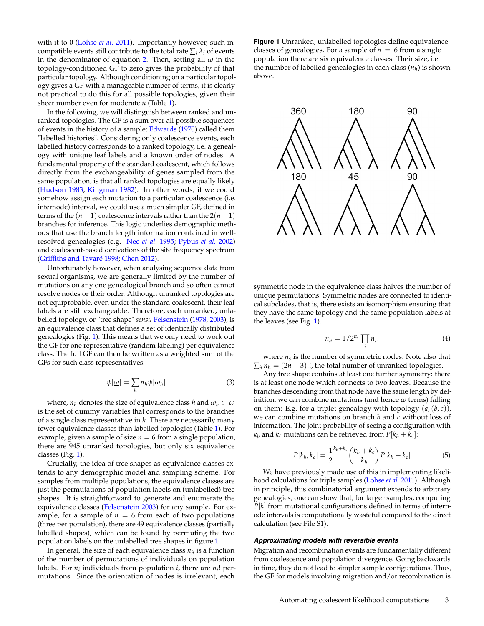with it to 0 [\(Lohse](#page-10-0) *et al.* [2011\)](#page-10-0). Importantly however, such incompatible events still contribute to the total rate  $\sum_i \lambda_i$  of events in the denominator of equation [2.](#page-1-0) Then, setting all *ω* in the topology-conditioned GF to zero gives the probability of that particular topology. Although conditioning on a particular topology gives a GF with a manageable number of terms, it is clearly not practical to do this for all possible topologies, given their sheer number even for moderate *n* (Table [1\)](#page-3-0).

In the following, we will distinguish between ranked and unranked topologies. The GF is a sum over all possible sequences of events in the history of a sample; [Edwards](#page-9-12) [\(1970\)](#page-9-12) called them "labelled histories". Considering only coalescence events, each labelled history corresponds to a ranked topology, i.e. a genealogy with unique leaf labels and a known order of nodes. A fundamental property of the standard coalescent, which follows directly from the exchangeability of genes sampled from the same population, is that all ranked topologies are equally likely [\(Hudson](#page-9-13) [1983;](#page-9-13) [Kingman](#page-9-14) [1982\)](#page-9-14). In other words, if we could somehow assign each mutation to a particular coalescence (i.e. internode) interval, we could use a much simpler GF, defined in terms of the  $(n - 1)$  coalescence intervals rather than the  $2(n - 1)$ branches for inference. This logic underlies demographic methods that use the branch length information contained in wellresolved genealogies (e.g. Nee *[et al.](#page-10-13)* [1995;](#page-10-13) [Pybus](#page-10-14) *et al.* [2002\)](#page-10-14) and coalescent-based derivations of the site frequency spectrum [\(Griffiths and Tavaré](#page-9-2) [1998;](#page-9-2) [Chen](#page-9-3) [2012\)](#page-9-3).

Unfortunately however, when analysing sequence data from sexual organisms, we are generally limited by the number of mutations on any one genealogical branch and so often cannot resolve nodes or their order. Although unranked topologies are not equiprobable, even under the standard coalescent, their leaf labels are still exchangeable. Therefore, each unranked, unlabelled topology, or "tree shape" *sensu* [Felsenstein](#page-9-15) [\(1978,](#page-9-15) [2003\)](#page-9-16), is an equivalence class that defines a set of identically distributed genealogies (Fig. [1\)](#page-2-0). This means that we only need to work out the GF for one representative (random labeling) per equivalence class. The full GF can then be written as a weighted sum of the GFs for such class representatives:

<span id="page-2-1"></span>
$$
\psi[\underline{\omega}] = \sum_{h} n_h \psi[\underline{\omega_h}] \tag{3}
$$

where,  $n_h$  denotes the size of equivalence class *h* and  $\omega_h \subset \underline{\omega}$ is the set of dummy variables that corresponds to the branches of a single class representative in *h*. There are necessarily many fewer equivalence classes than labelled topologies (Table [1\)](#page-3-0). For example, given a sample of size  $n = 6$  from a single population, there are 945 unranked topologies, but only six equivalence classes (Fig. [1\)](#page-2-0).

Crucially, the idea of tree shapes as equivalence classes extends to any demographic model and sampling scheme. For samples from multiple populations, the equivalence classes are just the permutations of population labels on (unlabelled) tree shapes. It is straightforward to generate and enumerate the equivalence classes [\(Felsenstein](#page-9-16) [2003\)](#page-9-16) for any sample. For example, for a sample of  $n = 6$  from each of two populations (three per population), there are 49 equivalence classes (partially labelled shapes), which can be found by permuting the two population labels on the unlabelled tree shapes in figure [1.](#page-2-0)

In general, the size of each equivalence class *n<sup>h</sup>* is a function of the number of permutations of individuals on population labels. For  $n_i$  individuals from population *i*, there are  $n_i!$  permutations. Since the orientation of nodes is irrelevant, each

<span id="page-2-0"></span>**Figure 1** Unranked, unlabelled topologies define equivalence classes of genealogies. For a sample of  $n = 6$  from a single population there are six equivalence classes. Their size, i.e. the number of labelled genealogies in each class (*n<sup>h</sup>* ) is shown above.



symmetric node in the equivalence class halves the number of unique permutations. Symmetric nodes are connected to identical subclades, that is, there exists an isomorphism ensuring that they have the same topology and the same population labels at the leaves (see Fig. [1\)](#page-2-0).

$$
n_h = 1/2^{n_s} \prod_i n_i! \tag{4}
$$

where  $n<sub>s</sub>$  is the number of symmetric nodes. Note also that  $\sum_h n_h = (2n - 3)!!$ , the total number of unranked topologies.

Any tree shape contains at least one further symmetry: there is at least one node which connects to two leaves. Because the branches descending from that node have the same length by definition, we can combine mutations (and hence *ω* terms) falling on them: E.g. for a triplet genealogy with topology  $(a, (b, c))$ , we can combine mutations on branch *b* and *c* without loss of information. The joint probability of seeing a configuration with  $k_b$  and  $k_c$  mutations can be retrieved from  $P[k_b + k_c]$ :

$$
P[k_b, k_c] = \frac{1}{2}^{k_b + k_c} {k_b + k_c \choose k_b} P[k_b + k_c]
$$
 (5)

We have previously made use of this in implementing likelihood calculations for triple samples [\(Lohse](#page-10-0) *et al.* [2011\)](#page-10-0). Although in principle, this combinatorial argument extends to arbitrary genealogies, one can show that, for larger samples, computing *P*[*k*] from mutational configurations defined in terms of internode intervals is computationally wasteful compared to the direct calculation (see File S1).

### *Approximating models with reversible events*

Migration and recombination events are fundamentally different from coalescence and population divergence. Going backwards in time, they do not lead to simpler sample configurations. Thus, the GF for models involving migration and/or recombination is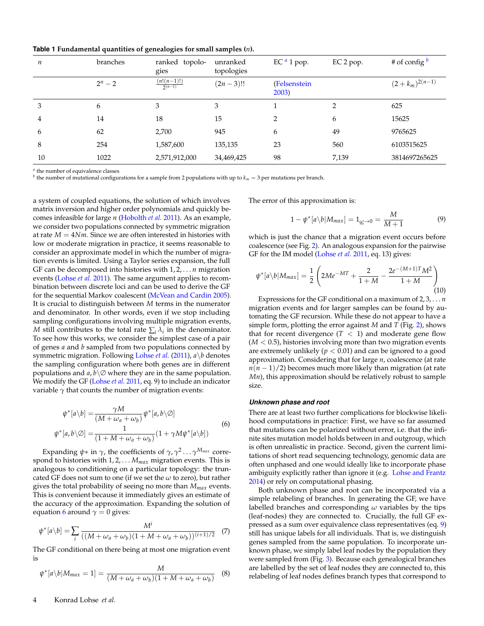<span id="page-3-0"></span>

| $\boldsymbol{n}$ | branches  | ranked topolo-<br>gies         | unranked<br>topologies | EC $a$ 1 pop.          | EC 2 pop.      | # of config $\frac{b}{c}$ |
|------------------|-----------|--------------------------------|------------------------|------------------------|----------------|---------------------------|
|                  | $2^n - 2$ | $\frac{(n!(n-1)!)}{2^{(n-1)}}$ | $(2n - 3)!!$           | (Felsenstein)<br>2003) |                | $(2 + k_m)^{2(n-1)}$      |
| 3                | 6         | 3                              | 3                      |                        | $\overline{2}$ | 625                       |
| 4                | 14        | 18                             | 15                     | 2                      | 6              | 15625                     |
| 6                | 62        | 2,700                          | 945                    | 6                      | 49             | 9765625                   |
| 8                | 254       | 1,587,600                      | 135,135                | 23                     | 560            | 6103515625                |
| 10               | 1022      | 2,571,912,000                  | 34,469,425             | 98                     | 7,139          | 3814697265625             |

*a* the number of equivalence classes

 $b$  the number of mutational configurations for a sample from 2 populations with up to  $k_m = 3$  per mutations per branch.

a system of coupled equations, the solution of which involves matrix inversion and higher order polynomials and quickly becomes infeasible for large *n* [\(Hobolth](#page-9-11) *et al.* [2011\)](#page-9-11). As an example, we consider two populations connected by symmetric migration at rate  $M = 4Nm$ . Since we are often interested in histories with low or moderate migration in practice, it seems reasonable to consider an approximate model in which the number of migration events is limited. Using a Taylor series expansion, the full GF can be decomposed into histories with 1, 2, . . . *n* migration events [\(Lohse](#page-10-0) *et al.* [2011\)](#page-10-0). The same argument applies to recombination between discrete loci and can be used to derive the GF for the sequential Markov coalescent [\(McVean and Cardin](#page-10-15) [2005\)](#page-10-15). It is crucial to distinguish between *M* terms in the numerator and denominator. In other words, even if we stop including sampling configurations involving multiple migration events, *M* still contributes to the total rate  $\sum_i \lambda_i$  in the denominator. To see how this works, we consider the simplest case of a pair of genes *a* and *b* sampled from two populations connected by symmetric migration. Following [Lohse](#page-10-0) *et al.* [\(2011\)](#page-10-0),  $a \backslash b$  denotes the sampling configuration where both genes are in different populations and  $a, b \backslash \emptyset$  where they are in the same population. We modify the GF [\(Lohse](#page-10-0) *et al.* [2011,](#page-10-0) eq. 9) to include an indicator variable  $\gamma$  that counts the number of migration events:

<span id="page-3-1"></span>
$$
\psi^*[a\backslash b] = \frac{\gamma M}{(M+\omega_a+\omega_b)} \psi^*[a,b\backslash \emptyset]
$$
  

$$
\psi^*[a,b\backslash \emptyset] = \frac{1}{(1+M+\omega_a+\omega_b)} (1+\gamma M \psi^*[a\backslash b])
$$
 (6)

Expanding *ψ*∗ in *γ*, the coefficients of *γ*, *γ* 2 . . . *γMmax* correspond to histories with 1, 2, . . . *Mmax* migration events. This is analogous to conditioning on a particular topology: the truncated GF does not sum to one (if we set the *ω* to zero), but rather gives the total probability of seeing no more than *Mmax* events. This is convenient because it immediately gives an estimate of the accuracy of the approximation. Expanding the solution of equation [6](#page-3-1) around  $\gamma = 0$  gives:

$$
\psi^*[a\backslash b] = \sum_i \frac{M^i}{\left( (M + \omega_a + \omega_b)(1 + M + \omega_a + \omega_b) \right)^{(i+1)/2}} \tag{7}
$$

The GF conditional on there being at most one migration event is

$$
\psi^*[a\backslash b|M_{max}=1] = \frac{M}{(M+\omega_a+\omega_b)(1+M+\omega_a+\omega_b)} \quad (8)
$$

<span id="page-3-2"></span>The error of this approximation is:

$$
1 - \psi^* [a \backslash b | M_{max}] = 1_{\underline{\omega} \to 0} = \frac{M}{M+1}
$$
 (9)

which is just the chance that a migration event occurs before coalescence (see Fig. [2\)](#page-4-0). An analogous expansion for the pairwise GF for the IM model [\(Lohse](#page-10-0) *et al.* [2011,](#page-10-0) eq. 13) gives:

$$
\psi^*[a \setminus b | M_{max}] = \frac{1}{2} \left( 2Me^{-MT} + \frac{2}{1+M} - \frac{2e^{-(M+1)T}M^2}{1+M} \right)
$$
\n(10)

Expressions for the GF conditional on a maximum of 2, 3, . . . *n* migration events and for larger samples can be found by automating the GF recursion. While these do not appear to have a simple form, plotting the error against *M* and *T* (Fig. [2\)](#page-4-0), shows that for recent divergence  $(T < 1)$  and moderate gene flow  $(M < 0.5)$ , histories involving more than two migration events are extremely unlikely ( $p < 0.01$ ) and can be ignored to a good approximation. Considering that for large *n*, coalescence (at rate  $n(n-1)/2$ ) becomes much more likely than migration (at rate *Mn*), this approximation should be relatively robust to sample size.

### *Unknown phase and root*

There are at least two further complications for blockwise likelihood computations in practice: First, we have so far assumed that mutations can be polarized without error, i.e. that the infinite sites mutation model holds between in and outgroup, which is often unrealistic in practice. Second, given the current limitations of short read sequencing technology, genomic data are often unphased and one would ideally like to incorporate phase ambiguity explicitly rather than ignore it (e.g. [Lohse and Frantz](#page-10-11) [2014\)](#page-10-11) or rely on computational phasing.

Both unknown phase and root can be incorporated via a simple relabeling of branches. In generating the GF, we have labelled branches and corresponding *ω* variables by the tips (leaf-nodes) they are connected to. Crucially, the full GF expressed as a sum over equivalence class representatives (eq. [9\)](#page-3-2) still has unique labels for all individuals. That is, we distinguish genes sampled from the same population. To incorporate unknown phase, we simply label leaf nodes by the population they were sampled from (Fig. [3\)](#page-4-1). Because each genealogical branches are labelled by the set of leaf nodes they are connected to, this relabeling of leaf nodes defines branch types that correspond to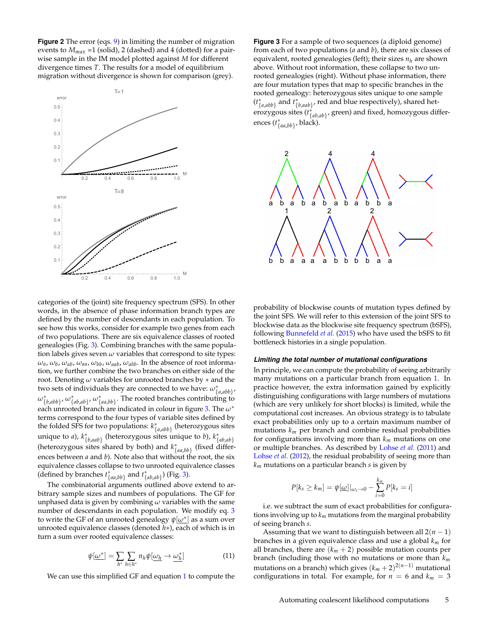<span id="page-4-0"></span>**Figure 2** The error (eqs. [9\)](#page-3-2) in limiting the number of migration events to *Mmax* =1 (solid), 2 (dashed) and 4 (dotted) for a pairwise sample in the IM model plotted against *M* for different divergence times *T*. The results for a model of equilibrium migration without divergence is shown for comparison (grey).



categories of the (joint) site frequency spectrum (SFS). In other words, in the absence of phase information branch types are defined by the number of descendants in each population. To see how this works, consider for example two genes from each of two populations. There are six equivalence classes of rooted genealogies (Fig. [3\)](#page-4-1). Combining branches with the same population labels gives seven  $\omega$  variables that correspond to site types:  $ω$ <sub>*a*</sub>,  $ω$ <sub>*b*</sub>,  $ω$ <sub>*ab*</sub>,  $ω$ *aa*,  $ω$ <sub>*bb*</sub>,  $ω$ <sub>*aab*</sub>,  $ω$ <sub>*abb*</sub>. In the absence of root information, we further combine the two branches on either side of the root. Denoting *ω* variables for unrooted branches by ∗ and the two sets of individuals they are connected to we have: *ω*<sup>∗</sup> {*a*,*abb*} , *ω*∗ {*b*,*abb*} , *ω*<sup>∗</sup> {*ab*,*ab*} , *ω*<sup>∗</sup> {*aa*,*bb*} . The rooted branches contributing to each unrooted branch are indicated in colour in figure [3.](#page-4-1) The *ω*<sup>∗</sup> terms correspond to the four types of variable sites defined by the folded SFS for two populations:  $k^*_{\{a, abb\}}$  (heterozygous sites unique to *a*),  $k^*_{\{b, aab\}}$  (heterozygous sites unique to *b*),  $k^*_{\{ab, ab\}}$ (heterozygous sites shared by both) and  $k^*_{\{aa, bb\}}$  (fixed differences between *a* and *b*). Note also that without the root, the six equivalence classes collapse to two unrooted equivalence classes (defined by branches  $t^*_{\{aa, bb\}}$  and  $t^*_{\{ab, ab\}}$ ) (Fig. [3\)](#page-4-1).

The combinatorial arguments outlined above extend to arbitrary sample sizes and numbers of populations. The GF for unphased data is given by combining *ω* variables with the same number of descendants in each population. We modify eq. [3](#page-2-1) to write the GF of an unrooted genealogy *ψ*[*ω*<sup>∗</sup> ] as a sum over unrooted equivalence classes (denoted *h*∗), each of which is in turn a sum over rooted equivalence classes:

$$
\psi[\underline{\omega}^*] = \sum_{h^*} \sum_{h \in h^*} n_h \psi[\underline{\omega}_h \to \underline{\omega}_h^*]
$$
\n(11)

We can use this simplified GF and equation [1](#page-1-1) to compute the

<span id="page-4-1"></span>**Figure 3** For a sample of two sequences (a diploid genome) from each of two populations (*a* and *b*), there are six classes of equivalent, rooted genealogies (left); their sizes *n<sup>h</sup>* are shown above. Without root information, these collapse to two unrooted genealogies (right). Without phase information, there are four mutation types that map to specific branches in the rooted genealogy: heterozygous sites unique to one sample  $(t^*_{\{a, abb\}})$  and  $t^*_{\{b, aab\}}$ , red and blue respectively), shared heterozygous sites ( $t^{*}_{\{ab,ab\}}$ , green) and fixed, homozygous differences  $(t_{\{aa, bb\}}^*$ , black).



probability of blockwise counts of mutation types defined by the joint SFS. We will refer to this extension of the joint SFS to blockwise data as the blockwise site frequency spectrum (bSFS), following [Bunnefeld](#page-9-17) *et al.* [\(2015\)](#page-9-17) who have used the bSFS to fit bottleneck histories in a single population.

#### *Limiting the total number of mutational configurations*

In principle, we can compute the probability of seeing arbitrarily many mutations on a particular branch from equation [1.](#page-1-1) In practice however, the extra information gained by explicitly distinguishing configurations with large numbers of mutations (which are very unlikely for short blocks) is limited, while the computational cost increases. An obvious strategy is to tabulate exact probabilities only up to a certain maximum number of mutations  $k_m$  per branch and combine residual probabilities for configurations involving more than *km* mutations on one or multiple branches. As described by [Lohse](#page-10-0) *et al.* [\(2011\)](#page-10-0) and [Lohse](#page-10-10) *et al.* [\(2012\)](#page-10-10), the residual probability of seeing more than *km* mutations on a particular branch *s* is given by

$$
P[k_s \geq k_m] = \psi[\underline{\omega}]|_{\omega_s \to 0} - \sum_{i=0}^{k_m} P[k_s = i]
$$

i.e. we subtract the sum of exact probabilities for configurations involving up to *km* mutations from the marginal probability of seeing branch *s*.

Assuming that we want to distinguish between all  $2(n - 1)$ branches in a given equivalence class and use a global *km* for all branches, there are  $(k_m + 2)$  possible mutation counts per branch (including those with no mutations or more than *km* mutations on a branch) which gives (*k<sup>m</sup>* + 2) <sup>2</sup>(*n*−1) mutational configurations in total. For example, for  $n = 6$  and  $k_m = 3$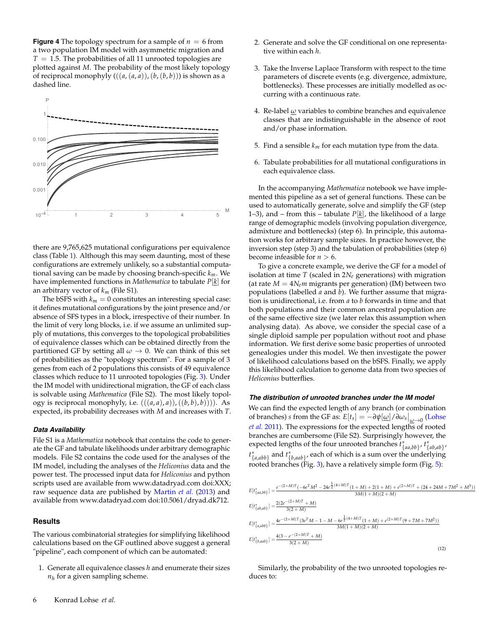**Figure 4** The topology spectrum for a sample of  $n = 6$  from a two population IM model with asymmetric migration and  $T = 1.5$ . The probabilities of all 11 unrooted topologies are plotted against *M*. The probability of the most likely topology of reciprocal monophyly  $(((a, (a, a)), (b, (b, b)))$  is shown as a dashed line.



there are 9,765,625 mutational configurations per equivalence class (Table [1\)](#page-3-0). Although this may seem daunting, most of these configurations are extremely unlikely, so a substantial computational saving can be made by choosing branch-specific *km*. We have implemented functions in *Mathematica* to tabulate *P*[*k*] for an arbitrary vector of *km* (File S1).

The bSFS with  $k_m = 0$  constitutes an interesting special case: it defines mutational configurations by the joint presence and/or absence of SFS types in a block, irrespective of their number. In the limit of very long blocks, i.e. if we assume an unlimited supply of mutations, this converges to the topological probabilities of equivalence classes which can be obtained directly from the partitioned GF by setting all  $\omega \to 0$ . We can think of this set of probabilities as the "topology spectrum". For a sample of 3 genes from each of 2 populations this consists of 49 equivalence classes which reduce to 11 unrooted topologies (Fig. [3\)](#page-4-1). Under the IM model with unidirectional migration, the GF of each class is solvable using *Mathematica* (File S2). The most likely topology is reciprocal monophyly, i.e.  $(((a, a), a)), ((b, b), b)))$ . As expected, its probability decreases with *M* and increases with *T*.

## *Data Availability*

File S1 is a *Mathematica* notebook that contains the code to generate the GF and tabulate likelihoods under arbitrary demographic models. File S2 contains the code used for the analyses of the IM model, including the analyses of the *Heliconius* data and the power test. The processed input data for *Heliconius* and python scripts used are available from www.datadryad.com doi:XXX; raw sequence data are published by [Martin](#page-10-12) *et al.* [\(2013\)](#page-10-12) and available from www.datadryad.com doi:10.5061/dryad.dk712.

## **Results**

The various combinatorial strategies for simplifying likelihood calculations based on the GF outlined above suggest a general "pipeline", each component of which can be automated:

1. Generate all equivalence classes *h* and enumerate their sizes *nh* for a given sampling scheme.

- 2. Generate and solve the GF conditional on one representative within each *h*.
- 3. Take the Inverse Laplace Transform with respect to the time parameters of discrete events (e.g. divergence, admixture, bottlenecks). These processes are initially modelled as occurring with a continuous rate.
- 4. Re-label *ω* variables to combine branches and equivalence classes that are indistinguishable in the absence of root and/or phase information.
- 5. Find a sensible *km* for each mutation type from the data.
- 6. Tabulate probabilities for all mutational configurations in each equivalence class.

In the accompanying *Mathematica* notebook we have implemented this pipeline as a set of general functions. These can be used to automatically generate, solve and simplify the GF (step 1–3), and – from this – tabulate  $P[k]$ , the likelihood of a large range of demographic models (involving population divergence, admixture and bottlenecks) (step 6). In principle, this automation works for arbitrary sample sizes. In practice however, the inversion step (step 3) and the tabulation of probabilities (step 6) become infeasible for  $n > 6$ .

To give a concrete example, we derive the GF for a model of isolation at time *T* (scaled in 2*Ne* generations) with migration (at rate  $M = 4N_e m$  migrants per generation) (IM) between two populations (labelled *a* and *b*). We further assume that migration is unidirectional, i.e. from *a* to *b* forwards in time and that both populations and their common ancestral population are of the same effective size (we later relax this assumption when analysing data). As above, we consider the special case of a single diploid sample per population without root and phase information. We first derive some basic properties of unrooted genealogies under this model. We then investigate the power of likelihood calculations based on the bSFS. Finally, we apply this likelihood calculation to genome data from two species of *Heliconius* butterflies.

# *The distribution of unrooted branches under the IM model*

We can find the expected length of any branch (or combination of branches) *s* from the GF as:  $E[t_s] = -\partial \psi[\underline{\omega}]/\partial \omega_s\big|_{\underline{\omega} \to 0}$  [\(Lohse](#page-10-0) *[et al.](#page-10-0)* [2011\)](#page-10-0). The expressions for the expected lengths of rooted branches are cumbersome (File S2). Surprisingly however, the expected lengths of the four unrooted branches  $t^*_{\{aa, bb\}}$ ,  $t^*_{\{ab, ab\}}$ , *t* ∗ {*a*,*abb*} and *t* ∗ {*b*,*aab*} , each of which is a sum over the underlying rooted branches (Fig. [3\)](#page-4-1), have a relatively simple form (Fig. [5\)](#page-6-0):

<span id="page-5-0"></span>
$$
E[t_{\{a, b\} }^*] = \frac{e^{-(2+M)T}(-6e^T M^2 - 24e^{\frac{1}{2}(4+M)T}(1+M) + 2(1+M) + e^{(2+M)T} + (24+24M+7M^2+M^3))}{3M(1+M)(2+M)}
$$
  
\n
$$
E[t_{\{a, b\} }^*] = \frac{2(2e^{-(2+M)T} + M)}{3(2+M)}
$$
  
\n
$$
E[t_{\{a, b\} }^*] = \frac{4e^{-(2+M)T}(3e^T M - 1 - M - 6e^{\frac{1}{2}(4+M)T}(1+M) + e^{(2+M)T}(9+7M+7M^2))}{3M(1+M)(2+M)}
$$
  
\n
$$
E[t_{\{b, aab\} }^*] = \frac{4(3 - e^{-(2+M)T} + M)}{3(2+M)}
$$
  
\n(12)

Similarly, the probability of the two unrooted topologies reduces to: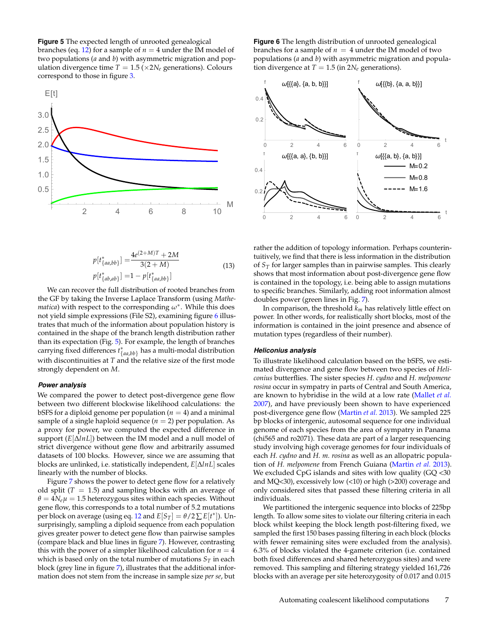<span id="page-6-0"></span>**Figure 5** The expected length of unrooted genealogical branches (eq. [12\)](#page-5-0) for a sample of  $n = 4$  under the IM model of two populations (*a* and *b*) with asymmetric migration and population divergence time  $T = 1.5 \times 2N_e$  generations). Colours correspond to those in figure [3.](#page-4-1)



$$
p[t_{\{aa, bb\}}^*] = \frac{4e^{(2+M)T} + 2M}{3(2+M)}
$$
  
\n
$$
p[t_{\{ab, ab\}}^*] = 1 - p[t_{\{aa, bb\}}^*]
$$
\n(13)

<span id="page-6-2"></span>We can recover the full distribution of rooted branches from the GF by taking the Inverse Laplace Transform (using *Mathematica*) with respect to the corresponding *ω*<sup>∗</sup> . While this does not yield simple expressions (File S2), examining figure [6](#page-6-1) illustrates that much of the information about population history is contained in the shape of the branch length distribution rather than its expectation (Fig. [5\)](#page-6-0). For example, the length of branches carrying fixed differences *t* ∗ {*aa*,*bb*} has a multi-modal distribution with discontinuities at *T* and the relative size of the first mode strongly dependent on *M*.

## *Power analysis*

We compared the power to detect post-divergence gene flow between two different blockwise likelihood calculations: the bSFS for a diploid genome per population ( $n = 4$ ) and a minimal sample of a single haploid sequence  $(n = 2)$  per population. As a proxy for power, we computed the expected difference in support (*E*[∆*lnL*]) between the IM model and a null model of strict divergence without gene flow and arbitrarily assumed datasets of 100 blocks. However, since we are assuming that blocks are unlinked, i.e. statistically independent, *E*[∆*lnL*] scales linearly with the number of blocks.

Figure [7](#page-7-0) shows the power to detect gene flow for a relatively old split  $(T = 1.5)$  and sampling blocks with an average of  $\theta = 4N_e\mu = 1.5$  heterozygous sites within each species. Without gene flow, this corresponds to a total number of 5.2 mutations per block on average (using eq. [12](#page-5-0) and  $E[S_T] = \theta/2 \sum E[t^*]$ ). Unsurprisingly, sampling a diploid sequence from each population gives greater power to detect gene flow than pairwise samples (compare black and blue lines in figure [7\)](#page-7-0). However, contrasting this with the power of a simpler likelihood calculation for  $n = 4$ which is based only on the total number of mutations  $S_T$  in each block (grey line in figure [7\)](#page-7-0), illustrates that the additional information does not stem from the increase in sample size *per se*, but

<span id="page-6-1"></span>**Figure 6** The length distribution of unrooted genealogical branches for a sample of  $n = 4$  under the IM model of two populations (*a* and *b*) with asymmetric migration and population divergence at  $T = 1.5$  (in  $2N_e$  generations).



rather the addition of topology information. Perhaps counterintuitively, we find that there is less information in the distribution of *S<sup>T</sup>* for larger samples than in pairwise samples. This clearly shows that most information about post-divergence gene flow is contained in the topology, i.e. being able to assign mutations to specific branches. Similarly, adding root information almost doubles power (green lines in Fig. [7\)](#page-7-0).

In comparison, the threshold *km* has relatively little effect on power. In other words, for realistically short blocks, most of the information is contained in the joint presence and absence of mutation types (regardless of their number).

#### *Heliconius analysis*

To illustrate likelihood calculation based on the bSFS, we estimated divergence and gene flow between two species of *Heliconius* butterflies. The sister species *H. cydno* and *H. melpomene rosina* occur in sympatry in parts of Central and South America, are known to hybridise in the wild at a low rate [\(Mallet](#page-10-16) *et al.* [2007\)](#page-10-16), and have previously been shown to have experienced post-divergence gene flow [\(Martin](#page-10-12) *et al.* [2013\)](#page-10-12). We sampled 225 bp blocks of intergenic, autosomal sequence for one individual genome of each species from the area of sympatry in Panama (chi565 and ro2071). These data are part of a larger resequencing study involving high coverage genomes for four individuals of each *H. cydno* and *H. m. rosina* as well as an allopatric population of *H. melpomene* from French Guiana [\(Martin](#page-10-12) *et al.* [2013\)](#page-10-12). We excluded CpG islands and sites with low quality (GQ <30 and MQ<30), excessively low (<10) or high (>200) coverage and only considered sites that passed these filtering criteria in all individuals.

We partitioned the intergenic sequence into blocks of 225bp length. To allow some sites to violate our filtering criteria in each block whilst keeping the block length post-filtering fixed, we sampled the first 150 bases passing filtering in each block (blocks with fewer remaining sites were excluded from the analysis). 6.3% of blocks violated the 4-gamete criterion (i.e. contained both fixed differences and shared heterozygous sites) and were removed. This sampling and filtering strategy yielded 161,726 blocks with an average per site heterozygosity of 0.017 and 0.015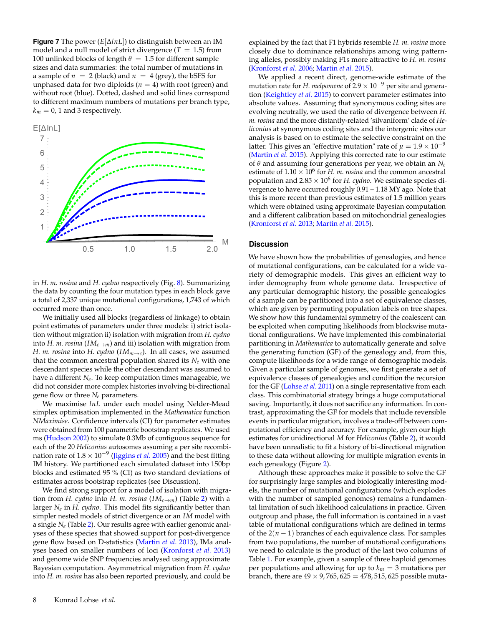<span id="page-7-0"></span>**Figure 7** The power (*E*[∆*lnL*]) to distinguish between an IM model and a null model of strict divergence  $(T = 1.5)$  from 100 unlinked blocks of length  $\theta = 1.5$  for different sample sizes and data summaries: the total number of mutations in a sample of  $n = 2$  (black) and  $n = 4$  (grey), the bSFS for unphased data for two diploids  $(n = 4)$  with root (green) and without root (blue). Dotted, dashed and solid lines correspond to different maximum numbers of mutations per branch type,  $k_m = 0$ , 1 and 3 respectively.



in *H. m. rosina* and *H. cydno* respectively (Fig. [8\)](#page-9-18). Summarizing the data by counting the four mutation types in each block gave a total of 2,337 unique mutational configurations, 1,743 of which occurred more than once.

We initially used all blocks (regardless of linkage) to obtain point estimates of parameters under three models: i) strict isolation without migration ii) isolation with migration from *H. cydno* into *H. m. rosina* ( $IM_{c\rightarrow m}$ ) and iii) isolation with migration from *H. m. rosina* into *H. cydno* ( $IM_{m\to c}$ ). In all cases, we assumed that the common ancestral population shared its  $N_e$  with one descendant species while the other descendant was assumed to have a different *Ne*. To keep computation times manageable, we did not consider more complex histories involving bi-directional gene flow or three *Ne* parameters.

We maximise *lnL* under each model using Nelder-Mead simplex optimisation implemented in the *Mathematica* function *NMaximise*. Confidence intervals (CI) for parameter estimates were obtained from 100 parametric bootstrap replicates. We used ms [\(Hudson](#page-9-19) [2002\)](#page-9-19) to simulate 0.3Mb of contiguous sequence for each of the 20 *Heliconius* autosomes assuming a per site recombination rate of 1.8 × 10−<sup>9</sup> [\(Jiggins](#page-9-20) *et al.* [2005\)](#page-9-20) and the best fitting IM history. We partitioned each simulated dataset into 150bp blocks and estimated 95 % (CI) as two standard deviations of estimates across bootstrap replicates (see Discussion).

We find strong support for a model of isolation with migration from *H. cydno* into *H. m. rosina* (*IMc*→*m*) (Table [2\)](#page-8-0) with a larger *Ne* in *H. cydno*. This model fits significantly better than simpler nested models of strict divergence or an *IM* model with a single *Ne* (Table [2\)](#page-8-0). Our results agree with earlier genomic analyses of these species that showed support for post-divergence gene flow based on D-statistics [\(Martin](#page-10-12) *et al.* [2013\)](#page-10-12), IMa analyses based on smaller numbers of loci [\(Kronforst](#page-9-21) *et al.* [2013\)](#page-9-21) and genome wide SNP frequencies analysed using approximate Bayesian computation. Asymmetrical migration from *H. cydno* into *H. m. rosina* has also been reported previously, and could be

explained by the fact that F1 hybrids resemble *H. m. rosina* more closely due to dominance relationships among wing patterning alleles, possibly making F1s more attractive to *H. m. rosina* [\(Kronforst](#page-9-22) *et al.* [2006;](#page-9-22) [Martin](#page-10-17) *et al.* [2015\)](#page-10-17).

We applied a recent direct, genome-wide estimate of the mutation rate for *H. melpomene* of 2.9 × 10−<sup>9</sup> per site and generation [\(Keightley](#page-9-23) *et al.* [2015\)](#page-9-23) to convert parameter estimates into absolute values. Assuming that synonymous coding sites are evolving neutrally, we used the ratio of divergence between *H. m. rosina* and the more distantly-related 'silvaniform' clade of *Heliconius* at synonymous coding sites and the intergenic sites our analysis is based on to estimate the selective constraint on the latter. This gives an "effective mutation" rate of  $\mu = 1.9 \times 10^{-9}$ [\(Martin](#page-10-17) *et al.* [2015\)](#page-10-17). Applying this corrected rate to our estimate of *θ* and assuming four generations per year, we obtain an *Ne* estimate of  $1.10 \times 10^6$  for *H. m. rosina* and the common ancestral population and 2.85  $\times$  10<sup>6</sup> for *H. cydno*. We estimate species divergence to have occurred roughly 0.91 – 1.18 MY ago. Note that this is more recent than previous estimates of 1.5 million years which were obtained using approximate Bayesian computation and a different calibration based on mitochondrial genealogies [\(Kronforst](#page-9-21) *et al.* [2013;](#page-9-21) [Martin](#page-10-17) *et al.* [2015\)](#page-10-17).

## **Discussion**

We have shown how the probabilities of genealogies, and hence of mutational configurations, can be calculated for a wide variety of demographic models. This gives an efficient way to infer demography from whole genome data. Irrespective of any particular demographic history, the possible genealogies of a sample can be partitioned into a set of equivalence classes, which are given by permuting population labels on tree shapes. We show how this fundamental symmetry of the coalescent can be exploited when computing likelihoods from blockwise mutational configurations. We have implemented this combinatorial partitioning in *Mathematica* to automatically generate and solve the generating function (GF) of the genealogy and, from this, compute likelihoods for a wide range of demographic models. Given a particular sample of genomes, we first generate a set of equivalence classes of genealogies and condition the recursion for the GF [\(Lohse](#page-10-0) *et al.* [2011\)](#page-10-0) on a single representative from each class. This combinatorial strategy brings a huge computational saving. Importantly, it does not sacrifice any information. In contrast, approximating the GF for models that include reversible events in particular migration, involves a trade-off between computational efficiency and accuracy. For example, given our high estimates for unidirectional *M* for *Heliconius* (Table [2\)](#page-8-0), it would have been unrealistic to fit a history of bi-directional migration to these data without allowing for multiple migration events in each genealogy (Figure [2\)](#page-4-0).

Although these approaches make it possible to solve the GF for surprisingly large samples and biologically interesting models, the number of mutational configurations (which explodes with the number of sampled genomes) remains a fundamental limitation of such likelihood calculations in practice. Given outgroup and phase, the full information is contained in a vast table of mutational configurations which are defined in terms of the 2(*n* − 1) branches of each equivalence class. For samples from two populations, the number of mutational configurations we need to calculate is the product of the last two columns of Table [1.](#page-3-0) For example, given a sample of three haploid genomes per populations and allowing for up to  $k_m = 3$  mutations per branch, there are  $49 \times 9,765,625 = 478,515,625$  possible muta-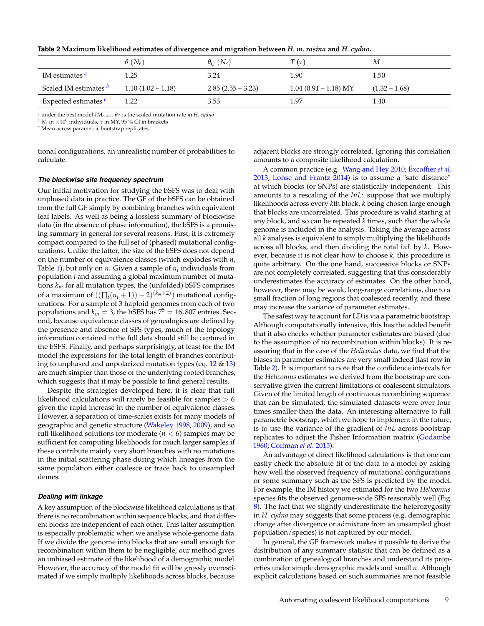|                                  | $\theta$ $(N_e)$    | $\theta_C(N_e)$     | $T(\tau)$              | М               |
|----------------------------------|---------------------|---------------------|------------------------|-----------------|
| IM estimates $\alpha$            | 1.25                | 3.24                | 1.90                   | 1.50            |
| Scaled IM estimates <sup>b</sup> | $1.10(1.02 - 1.18)$ | $2.85(2.55 - 3.23)$ | $1.04(0.91 - 1.18)$ MY | $(1.32 - 1.68)$ |
| Expected estimates $\epsilon$    | 1.22                | 3.53                | 1.97                   | 1.40            |

<span id="page-8-0"></span>

| Table 2 Maximum likelihood estimates of divergence and migration between H. m. rosina and H. cydno. |  |  |  |  |
|-----------------------------------------------------------------------------------------------------|--|--|--|--|
|                                                                                                     |  |  |  |  |

*<sup>a</sup>* under the best model *IMc*→*m*. *θ<sup>C</sup>* is the scaled mutation rate in *H. cydno*

 $^b$   $N_e$  in  $\times 10^6$  individuals,  $\tau$  in MY, 95 % CI in brackets

*<sup>c</sup>* Mean across parametric bootstrap replicates

tional configurations, an unrealistic number of probabilities to calculate.

## *The blockwise site frequency spectrum*

Our initial motivation for studying the bSFS was to deal with unphased data in practice. The GF of the bSFS can be obtained from the full GF simply by combining branches with equivalent leaf labels. As well as being a lossless summary of blockwise data (in the absence of phase information), the bSFS is a promising summary in general for several reasons. First, it is extremely compact compared to the full set of (phased) mutational configurations. Unlike the latter, the size of the bSFS does not depend on the number of equivalence classes (which explodes with *n*, Table [1\)](#page-3-0), but only on *n*. Given a sample of *n<sup>i</sup>* individuals from population *i* and assuming a global maximum number of mutations  $k_m$  for all mutation types, the (unfolded) bSFS comprises of a maximum of  $((\prod_i (n_i + 1)) - 2)^{(k_m + 2)})$  mutational configurations. For a sample of 3 haploid genomes from each of two populations and  $k_m = 3$ , the bSFS has  $7^5 = 16$ , 807 entries. Second, because equivalence classes of genealogies are defined by the presence and absence of SFS types, much of the topology information contained in the full data should still be captured in the bSFS. Finally, and perhaps surprisingly, at least for the IM model the expressions for the total length of branches contributing to unphased and unpolarized mutation types (eq.  $12 \& 13$  $12 \& 13$ ) are much simpler than those of the underlying rooted branches, which suggests that it may be possible to find general results.

Despite the strategies developed here, it is clear that full likelihood calculations will rarely be feasible for samples  $> 6$ given the rapid increase in the number of equivalence classes. However, a separation of time-scales exists for many models of geographic and genetic structure [\(Wakeley](#page-10-18) [1998,](#page-10-18) [2009\)](#page-10-19), and so full likelihood solutions for moderate ( $n < 6$ ) samples may be sufficient for computing likelihoods for much larger samples if these contribute mainly very short branches with no mutations in the initial scattering phase during which lineages from the same population either coalesce or trace back to unsampled demes.

## *Dealing with linkage*

A key assumption of the blockwise likelihood calculations is that there is no recombination within sequence blocks, and that different blocks are independent of each other. This latter assumption is especially problematic when we analyse whole-genome data. If we divide the genome into blocks that are small enough for recombination within them to be negligible, our method gives an unbiased estimate of the likelihood of a demographic model. However, the accuracy of the model fit will be grossly overestimated if we simply multiply likelihoods across blocks, because

adjacent blocks are strongly correlated. Ignoring this correlation amounts to a composite likelihood calculation.

A common practice (e.g. [Wang and Hey](#page-10-7) [2010;](#page-10-7) [Excoffier](#page-9-1) *et al.* [2013;](#page-9-1) [Lohse and Frantz](#page-10-11) [2014\)](#page-10-11) is to assume a "safe distance" at which blocks (or SNPs) are statistically independent. This amounts to a rescaling of the *lnL*: suppose that we multiply likelihoods across every *k*th block, *k* being chosen large enough that blocks are uncorrelated. This procedure is valid starting at any block, and so can be repeated *k* times, such that the whole genome is included in the analysis. Taking the average across all *k* analyses is equivalent to simply multiplying the likelihoods across all blocks, and then dividing the total *lnL* by *k*. However, because it is not clear how to choose *k*, this procedure is quite arbitrary. On the one hand, successive blocks or SNPs are not completely correlated, suggesting that this considerably underestimates the accuracy of estimates. On the other hand, however, there may be weak, long-range correlations, due to a small fraction of long regions that coalesced recently, and these may increase the variance of parameter estimates.

The safest way to account for LD is via a parametric bootstrap. Although computationally intensive, this has the added benefit that it also checks whether parameter estimates are biased (due to the assumption of no recombination within blocks). It is reassuring that in the case of the *Heliconius* data, we find that the biases in parameter estimates are very small indeed (last row in Table [2\)](#page-8-0). It is important to note that the confidence intervals for the *Heliconius* estimates we derived from the bootstrap are conservative given the current limitations of coalescent simulators. Given of the limited length of continuous recombining sequence that can be simulated, the simulated datasets were over four times smaller than the data. An interesting alternative to full parametric bootstrap, which we hope to implement in the future, is to use the variance of the gradient of *lnL* across bootstrap replicates to adjust the Fisher Information matrix [\(Godambe](#page-9-24) [1960;](#page-9-24) [Coffman](#page-9-25) *et al.* [2015\)](#page-9-25).

An advantage of direct likelihood calculations is that one can easily check the absolute fit of the data to a model by asking how well the observed frequency of mutational configurations or some summary such as the SFS is predicted by the model. For example, the IM history we estimated for the two *Heliconius* species fits the observed genome-wide SFS reasonably well (Fig. [8\)](#page-9-18). The fact that we slightly underestimate the heterozygosity in *H. cydno* may suggests that some process (e.g. demographic change after divergence or admixture from an unsampled ghost population/species) is not captured by our model.

In general, the GF framework makes it possible to derive the distribution of any summary statistic that can be defined as a combination of genealogical branches and understand its properties under simple demographic models and small *n*. Although explicit calculations based on such summaries are not feasible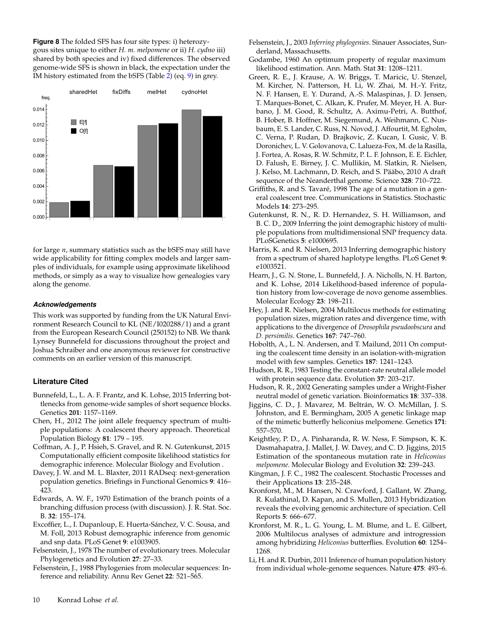<span id="page-9-18"></span>**Figure 8** The folded SFS has four site types: i) heterozygous sites unique to either *H. m. melpomene* or ii) *H. cydno* iii) shared by both species and iv) fixed differences. The observed genome-wide SFS is shown in black, the expectation under the IM history estimated from the bSFS (Table [2\)](#page-8-0) (eq. [9\)](#page-3-2) in grey.



for large *n*, summary statistics such as the bSFS may still have wide applicability for fitting complex models and larger samples of individuals, for example using approximate likelihood methods, or simply as a way to visualize how genealogies vary along the genome.

# *Acknowledgements*

This work was supported by funding from the UK Natural Environment Research Council to KL (NE/I020288/1) and a grant from the European Research Council (250152) to NB. We thank Lynsey Bunnefeld for discussions throughout the project and Joshua Schraiber and one anonymous reviewer for constructive comments on an earlier version of this manuscript.

# **Literature Cited**

- <span id="page-9-17"></span>Bunnefeld, L., L. A. F. Frantz, and K. Lohse, 2015 Inferring bottlenecks from genome-wide samples of short sequence blocks. Genetics **201**: 1157–1169.
- <span id="page-9-3"></span>Chen, H., 2012 The joint allele frequency spectrum of multiple populations: A coalescent theory approach. Theoretical Population Biology **81**: 179 – 195.
- <span id="page-9-25"></span>Coffman, A. J., P. Hsieh, S. Gravel, and R. N. Gutenkunst, 2015 Computationally efficient composite likelihood statistics for demographic inference. Molecular Biology and Evolution .
- <span id="page-9-7"></span>Davey, J. W. and M. L. Blaxter, 2011 RADseq: next-generation population genetics. Briefings in Functional Genomics **9**: 416– 423.
- <span id="page-9-12"></span>Edwards, A. W. F., 1970 Estimation of the branch points of a branching diffusion process (with discussion). J. R. Stat. Soc. B. **32**: 155–174.
- <span id="page-9-1"></span>Excoffier, L., I. Dupanloup, E. Huerta-Sánchez, V. C. Sousa, and M. Foll, 2013 Robust demographic inference from genomic and snp data. PLoS Genet **9**: e1003905.
- <span id="page-9-15"></span>Felsenstein, J., 1978 The number of evolutionary trees. Molecular Phylogenetics and Evolution **27**: 27–33.
- <span id="page-9-9"></span>Felsenstein, J., 1988 Phylogenies from molecular sequences: Inference and reliability. Annu Rev Genet **22**: 521–565.
- <span id="page-9-16"></span>Felsenstein, J., 2003 *Inferring phylogenies*. Sinauer Associates, Sunderland, Massachusetts.
- <span id="page-9-24"></span>Godambe, 1960 An optimum property of regular maximum likelihood estimation. Ann. Math. Stat **31**: 1208–1211.
- <span id="page-9-10"></span>Green, R. E., J. Krause, A. W. Briggs, T. Maricic, U. Stenzel, M. Kircher, N. Patterson, H. Li, W. Zhai, M. H.-Y. Fritz, N. F. Hansen, E. Y. Durand, A.-S. Malaspinas, J. D. Jensen, T. Marques-Bonet, C. Alkan, K. Prufer, M. Meyer, H. A. Burbano, J. M. Good, R. Schultz, A. Aximu-Petri, A. Butthof, B. Hober, B. Hoffner, M. Siegemund, A. Weihmann, C. Nusbaum, E. S. Lander, C. Russ, N. Novod, J. Affourtit, M. Egholm, C. Verna, P. Rudan, D. Brajkovic, Z. Kucan, I. Gusic, V. B. Doronichev, L. V. Golovanova, C. Lalueza-Fox, M. de la Rasilla, J. Fortea, A. Rosas, R. W. Schmitz, P. L. F. Johnson, E. E. Eichler, D. Falush, E. Birney, J. C. Mullikin, M. Slatkin, R. Nielsen, J. Kelso, M. Lachmann, D. Reich, and S. Pääbo, 2010 A draft sequence of the Neanderthal genome. Science **328**: 710–722.
- <span id="page-9-2"></span>Griffiths, R. and S. Tavaré, 1998 The age of a mutation in a general coalescent tree. Communications in Statistics. Stochastic Models **14**: 273–295.
- <span id="page-9-0"></span>Gutenkunst, R. N., R. D. Hernandez, S. H. Williamson, and B. C. D., 2009 Inferring the joint demographic history of multiple populations from multidimensional SNP frequency data. PLoSGenetics **5**: e1000695.
- <span id="page-9-5"></span>Harris, K. and R. Nielsen, 2013 Inferring demographic history from a spectrum of shared haplotype lengths. PLoS Genet **9**: e1003521.
- <span id="page-9-8"></span>Hearn, J., G. N. Stone, L. Bunnefeld, J. A. Nicholls, N. H. Barton, and K. Lohse, 2014 Likelihood-based inference of population history from low-coverage de novo genome assemblies. Molecular Ecology **23**: 198–211.
- <span id="page-9-6"></span>Hey, J. and R. Nielsen, 2004 Multilocus methods for estimating population sizes, migration rates and divergence time, with applications to the divergence of *Drosophila pseudoobscura* and *D. persimilis*. Genetics **167**: 747–760.
- <span id="page-9-11"></span>Hobolth, A., L. N. Andersen, and T. Mailund, 2011 On computing the coalescent time density in an isolation-with-migration model with few samples. Genetics **187**: 1241–1243.
- <span id="page-9-13"></span>Hudson, R. R., 1983 Testing the constant-rate neutral allele model with protein sequence data. Evolution **37**: 203–217.
- <span id="page-9-19"></span>Hudson, R. R., 2002 Generating samples under a Wright-Fisher neutral model of genetic variation. Bioinformatics **18**: 337–338.
- <span id="page-9-20"></span>Jiggins, C. D., J. Mavarez, M. Beltrán, W. O. McMillan, J. S. Johnston, and E. Bermingham, 2005 A genetic linkage map of the mimetic butterfly heliconius melpomene. Genetics **171**: 557–570.
- <span id="page-9-23"></span>Keightley, P. D., A. Pinharanda, R. W. Ness, F. Simpson, K. K. Dasmahapatra, J. Mallet, J. W. Davey, and C. D. Jiggins, 2015 Estimation of the spontaneous mutation rate in *Heliconius melpomene*. Molecular Biology and Evolution **32**: 239–243.
- <span id="page-9-14"></span>Kingman, J. F. C., 1982 The coalescent. Stochastic Processes and their Applications **13**: 235–248.
- <span id="page-9-21"></span>Kronforst, M., M. Hansen, N. Crawford, J. Gallant, W. Zhang, R. Kulathinal, D. Kapan, and S. Mullen, 2013 Hybridization reveals the evolving genomic architecture of speciation. Cell Reports **5**: 666–677.
- <span id="page-9-22"></span>Kronforst, M. R., L. G. Young, L. M. Blume, and L. E. Gilbert, 2006 Multilocus analyses of admixture and introgression among hybridizing *Heliconius* butterflies. Evolution **60**: 1254– 1268.
- <span id="page-9-4"></span>Li, H. and R. Durbin, 2011 Inference of human population history from individual whole-genome sequences. Nature **475**: 493–6.